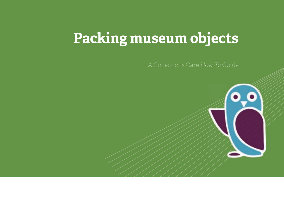## **Packing museum objects**

A Collections Care How To Guide

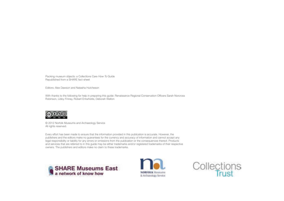Packing museum objects: a Collections Care How To Guide Republished from a SHARE fact-sheet

Editors: Alex Dawson and Natasha Hutcheson

With thanks to the following for help in preparing this guide: Renaissance Regional Conservation Officers Sarah Norcross Robinson, Libby Finney, Robert Entwhistle, Deborah Walton



© 2012 Norfolk Museums and Archaeology Service All rights reserved.

Every effort has been made to ensure that the information provided in this publication is accurate. However, the publishers and the editors make no guarantees for the currency and accuracy of information and cannot accept any legal responsibility or liability for any errors or omissions from the publication or the consequences thereof. Products and services that are referred to in this guide may be either trademarks and/or registered trademarks of their respective owners. The publishers and editors make no claim to these trademarks.





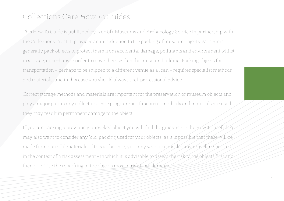### Collections Care How To Guides

This How To Guide is published by Norfolk Museums and Archaeology Service in partnership with the Collections Trust. It provides an introduction to the packing of museum objects. Museums generally pack objects to protect them from accidental damage, pollutants and environment whilst in storage, or perhaps in order to move them within the museum building. Packing objects for transportation - perhaps to be shipped to a different venue as a loan - requires specialist methods and materials, and in this case you should always seek professional advice.

Correct storage methods and materials are important for the preservation of museum objects and play a major part in any collections care programme: if incorrect methods and materials are used they may result in permanent damage to the object.

If you are packing a previously unpacked object you will find the guidance in the How To useful. You may also want to consider any 'old' packing used for your objects, as it is possible that these will be made from harmful materials. If this is the case, you may want to consider any repacking projects in the context of a risk assessment - in which it is advisable to assess the risk to the objects first and then prioritise the repacking of the objects most at risk from damage.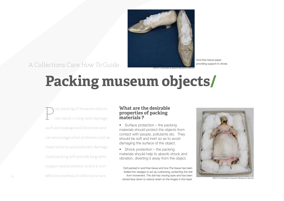

### A Collections Care How To Guide

providing support to shoes Colchester & Ipswich Museums Service

Acid free tissue paper

# **Packing museum objects/**

Poor packing of museum objects<br>can result in long term damage can result in long term damage such as breakage and distortion and can encourage other problems such as insect activity and pollutant damage. Good packing will provide long term support and protection and is a costeffective method of collections care

#### **What are the desirable properties of packing materials ?**

• Surface protection – the packing materials should protect the objects from contact with people, pollutants etc. They should be soft and inert so as to avoid damaging the surface of the object.

• Shock protection – the packing materials should help to absorb shock and vibration, diverting it away from the object.

Doll packed in acid free tissue and box.The tissue has been folded into wedges to act as cushioning, protecting the doll from movement. The doll has moving eyes and has been stored face down to reduce strain on the hinges in the head.



©2012 Colchester & Ipswich Museums Service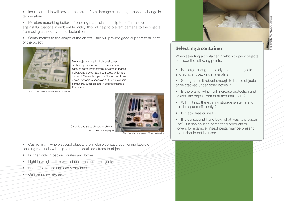- Insulation this will prevent the object from damage caused by a sudden change in temperature.
- Moisture absorbing buffer if packing materials can help to buffer the object against fluctuations in ambient humidity, this will help to prevent damage to the objects from being caused by those fluctuations.
- Conformation to the shape of the object this will provide good support to all parts of the object.



Metal objects stored in individual boxes containing Plastazote cut to the shape of each object to protect from movement. Plastic polystyrene boxes have been used, which are low acid. Generally, if you can't afford acid free boxes, low acid is acceptable. If using low acid containers, buffer objects in acid free tissue or Plastazote.

©2012 Colchester & Ipswich Museums Service



Ceramic and glass objects cushioned by acid free tissue paper

©2012 Colchester & Ipswich Museums Service

- Cushioning where several objects are in close contact, cushioning layers of packing materials will help to reduce localised stress to objects.
- Fill the voids in packing crates and boxes.
- Light in weight this will reduce stress on the objects.
- Economic to use and easily obtained.
- Can be safely re-used.



#### **Selecting a container**

When selecting a container in which to pack objects consider the following points:

- Is it large enough to safely house the objects and sufficient packing materials ?
- Strength is it robust enough to house objects or be stacked under other boxes ?
- Is there a lid, which will increase protection and protect the object from dust accumulation ?
- Will it fit into the existing storage systems and use the space efficiently ?
- Is it acid free or inert ?

• If it is a second-hand box, what was its previous use? If it has housed some food products or flowers for example, insect pests may be present and it should not be used.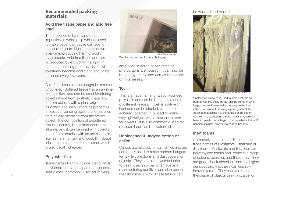#### **Recommended packing materials**

#### Acid free tissue paper and acid free card.

The presence of lignin (and other impurities) in wood pulp which is used to make paper can cause damage to museum objects. Lignin breaks down over time, producing harmful acidic by-products. Acid free tissue and card is produced by excluding the lignin in the manufacturing process. Tissue will eventually become acidic and should be replaced every few years.

Acid free tissue can be bought buffered or unbuffered. Buffered tissue has an alkaline composition, and can be used for storing objects made from synthetic materials, or from objects with a plant origin, such as cotton and linen, where its properties protect surrounding objects and surfaces from acidity migrating from the stored object. The composition of unbuffered tissue is neutral, it is neither acidic nor alkaline, and it can be used with objects made from proteins with an animal origin like feathers, fur, silk and wool. If in doubt it is safer to use unbuffered tissue, which is also usually cheaper.

#### Polyester film

Trade names for this include: Secol, Mylar or Melinex. It is a transparent, colourless, inert plastic, commonly used for making



Secol envelope used to store photograph

envelopes in which paper items or photographs are housed. It can also be bought by the roll and comes in a variety of thicknesses.

#### Tyvek

This is a trade name for a spun-bonded polyolefin and can be bought in a number of different grades. Tyvek is lightweight, inert and can be stapled, stitched or adhered together. It is used to make very lightweight, water repellent covers for objects. It is also commonly used for museum labels as it is water resistant.

#### Unbleached & undyed cotton or calico

Calicos are relatively cheap fabrics and are commonly used to make padded hangers for textile collections and dust covers for objects. They should be washed prior to being used in order to remove any manufacturing additives and also because the fabric may shrink. These fabrics can

be washed and reused.



©2012 Colchester & Ipswich Museums Service

Unbleached calico bags used to store costume on padded hagers. Costume can also be stored in Tyvek bags, however these can be more expensive than calico. Remember that taking a photograph of the object and attaching it to the outside of the bag or box, with the accession number, means that you don't have to open boxes or bags to find out what is inside. If hanging costume, always use padded hangers.

#### Inert foams

Commonly found in the UK under the trade names of Plastazote, Ethafoam or Jiffy foam. Plastazote and Ethafoam are polyethylene foams and come in a range of colours, densities and thickness. They are good shock absorbers and the higher densities and thickness can cushion heavier items. They can also be cut to the shape of objects using a scalpel or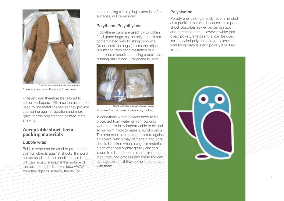

Costume stored using Plastazote foam sheets. ©2012 Colchester & Ipswich Museums Service

knife and can therefore be tailored to complex shapes. All three foams can be used to line metal shelves as they provide cushioning against vibration and more "grip" for the objects than painted metal shelving.

#### **Acceptable short-term packing materials**

#### Bubble wrap

Bubble wrap can be used to protect and cushion objects against shock. It should not be used in damp conditions, as it will trap moisture against the surface of the objects. If the bubbles face AWAY from the object's surface, the risk of

them causing a "dimpling" effect in softer surfaces, will be reduced.

#### Polythene (Polyethylene)

If polythene bags are used, try to obtain food grade bags, as the polythene is not contaminated with finishing products. Do not seal the bags (unless the object is suffering from pest infestation or a controlled microclimate using a desiccant is being maintained. Polythene is useful



©2012 Colchester & Inswich Museums Servic

Polythene food bags used as temporary packing

in conditions where objects need to be protected from water or from building work but it is fairly impermeable to air and so will form microclimates around objects. This can result in trapping moisture against an object, which may damage it and care should be taken when using this material. It can often feel slightly greasy and this is due to oils and contaminants from the manufacturing process and these too can damage objects if they come into contact with them.

#### Polystyrene

Polystyrene is not generally recommended as a packing material, because it is a poor shock absorber as well as being static and attracting dust. However, white (not dyed) polystyrene peanuts, can be used inside sealed polythene bags to provide void filling materials and polystyrene itself is inert.

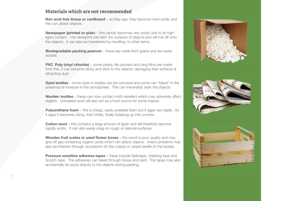#### **Materials which are not recommended**

**Non acid-free tissue or cardboard** – as they age, they become more acidic and this can attack objects.

**Newspaper (printed or plain)** – this rapidly becomes very acidic due to its high lignin content. The newsprint can etch the surfaces of objects and will rub off onto the objects. It can also be transferred by handling, to other items.

**Biodegradable packing peanuts** – these are made from grains and are water soluble.

**PVC Poly (vinyl chloride)** – some plastic file pockets and cling films are made from this. It can become sticky and stick to the objects, damaging their surfaces & attracting dust.

**Dyed textiles** – some dyes in textiles can be corrosive and some can "bleed" in the presence of moisture in the atmosphere. This can irreversibly stain the objects.

**Woollen textiles** – these can now contain moth repellent which may adversely affect objects. Untreated wool will also act as a food source for some insects.

**Polyurethane foam** – this is cheap, easily available foam but it ages very badly. As it ages it becomes sticky, then brittle, finally breaking up into crumbs.

**Cotton wool** – this contains a large amount of lignin and will therefore become rapidly acidic. It can also easily snag on rough or delicate surfaces.

**Wooden fruit crates or used flower boxes** – the wood is poor quality and may give off gas containing organic acids which can attack objects. Insect problems may also be inherent through woodworm (in the crates) or carpet beetle (in the boxes).

**Pressure sensitive adhesive tapes** – these include Sellotape, masking tape and Scotch tape. The adhesives can bleed through tissue and card. The tapes may also accidentally be stuck directly to the objects during packing.

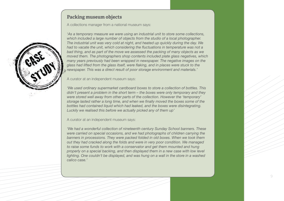#### **Packing museum objects**

A collections manager from a national museum says:

*'As a temporary measure we were using an industrial unit to store some collections, which included a large number of objects from the studio of a local photographer. The industrial unit was very cold at night, and heated up quickly during the day. We had to vacate the unit, which considering the fluctuations in temperature was not a bad thing, and as part of the move we assessed the packing of many objects as we moved them. The photographers shop contents included plate glass negatives, which many years previously had been wrapped in newspaper. The negative images on the glass had lifted from the glass itself, were flaking, and in places were stuck to the newspaper. This was a direct result of poor storage environment and materials.'* 

A curator at an independent museum says:

*'We used ordinary supermarket cardboard boxes to store a collection of bottles. This didn't present a problem in the short term – the boxes were only temporary and they were stored well away from other parts of the collection. However the 'temporary' storage lasted rather a long time, and when we finally moved the boxes some of the bottles had contained liquid which had leaked, and the boxes were disintegrating. Luckily we realised this before we actually picked any of them up'*

A curator at an independent museum says:

*'We had a wonderful collection of nineteenth century Sunday School banners. These were carried on special occasions, and we had photographs of children carrying the banners in processions. They were packed folded in old boxes. When we took them out they had cracked along the folds and were in very poor condition. We managed to raise some funds to work with a conservator and get them mounted and hung properly on a special backing, and then displayed them in a new case with low level lighting. One couldn't be displayed, and was hung on a wall in the store in a washed calico case.'*